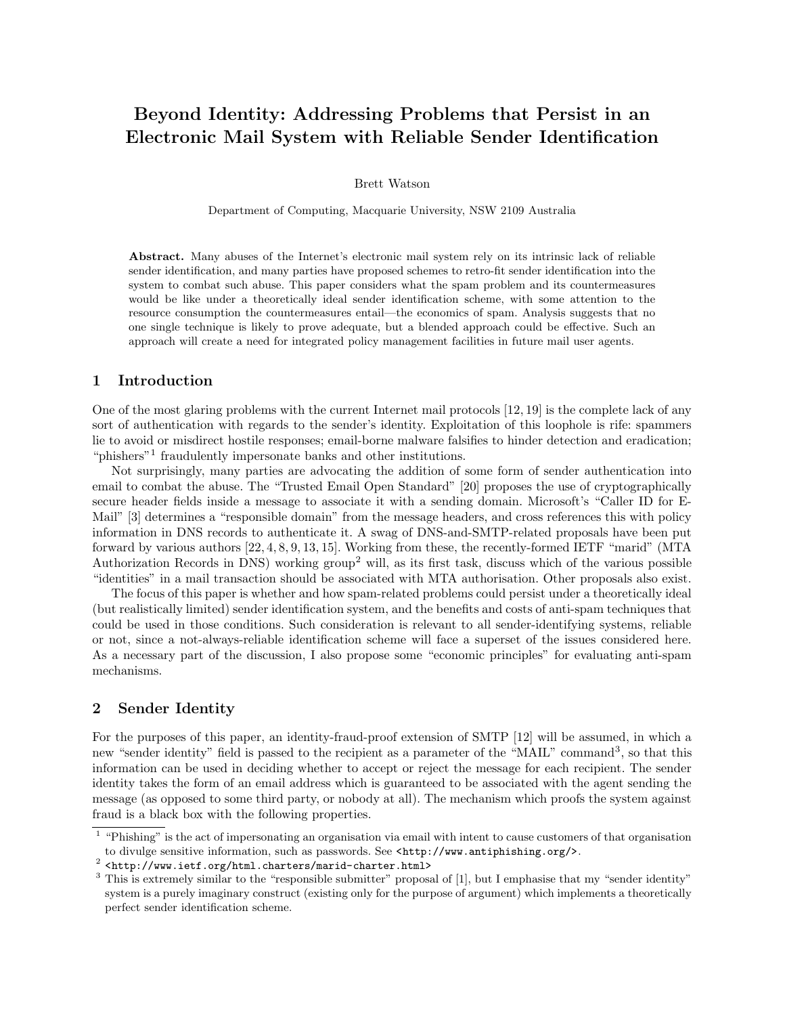# Beyond Identity: Addressing Problems that Persist in an Electronic Mail System with Reliable Sender Identification

Brett Watson

Department of Computing, Macquarie University, NSW 2109 Australia

Abstract. Many abuses of the Internet's electronic mail system rely on its intrinsic lack of reliable sender identification, and many parties have proposed schemes to retro-fit sender identification into the system to combat such abuse. This paper considers what the spam problem and its countermeasures would be like under a theoretically ideal sender identification scheme, with some attention to the resource consumption the countermeasures entail—the economics of spam. Analysis suggests that no one single technique is likely to prove adequate, but a blended approach could be effective. Such an approach will create a need for integrated policy management facilities in future mail user agents.

## 1 Introduction

One of the most glaring problems with the current Internet mail protocols [12, 19] is the complete lack of any sort of authentication with regards to the sender's identity. Exploitation of this loophole is rife: spammers lie to avoid or misdirect hostile responses; email-borne malware falsifies to hinder detection and eradication; "phishers"<sup>1</sup> fraudulently impersonate banks and other institutions.

Not surprisingly, many parties are advocating the addition of some form of sender authentication into email to combat the abuse. The "Trusted Email Open Standard" [20] proposes the use of cryptographically secure header fields inside a message to associate it with a sending domain. Microsoft's "Caller ID for E-Mail" [3] determines a "responsible domain" from the message headers, and cross references this with policy information in DNS records to authenticate it. A swag of DNS-and-SMTP-related proposals have been put forward by various authors [22, 4, 8, 9, 13, 15]. Working from these, the recently-formed IETF "marid" (MTA Authorization Records in DNS) working group<sup>2</sup> will, as its first task, discuss which of the various possible "identities" in a mail transaction should be associated with MTA authorisation. Other proposals also exist.

The focus of this paper is whether and how spam-related problems could persist under a theoretically ideal (but realistically limited) sender identification system, and the benefits and costs of anti-spam techniques that could be used in those conditions. Such consideration is relevant to all sender-identifying systems, reliable or not, since a not-always-reliable identification scheme will face a superset of the issues considered here. As a necessary part of the discussion, I also propose some "economic principles" for evaluating anti-spam mechanisms.

# 2 Sender Identity

For the purposes of this paper, an identity-fraud-proof extension of SMTP [12] will be assumed, in which a new "sender identity" field is passed to the recipient as a parameter of the "MAIL" command<sup>3</sup>, so that this information can be used in deciding whether to accept or reject the message for each recipient. The sender identity takes the form of an email address which is guaranteed to be associated with the agent sending the message (as opposed to some third party, or nobody at all). The mechanism which proofs the system against fraud is a black box with the following properties.

<sup>&</sup>lt;sup>1</sup> "Phishing" is the act of impersonating an organisation via email with intent to cause customers of that organisation to divulge sensitive information, such as passwords. See <http://www.antiphishing.org/>.

<sup>2</sup> <http://www.ietf.org/html.charters/marid-charter.html>

<sup>&</sup>lt;sup>3</sup> This is extremely similar to the "responsible submitter" proposal of [1], but I emphasise that my "sender identity" system is a purely imaginary construct (existing only for the purpose of argument) which implements a theoretically perfect sender identification scheme.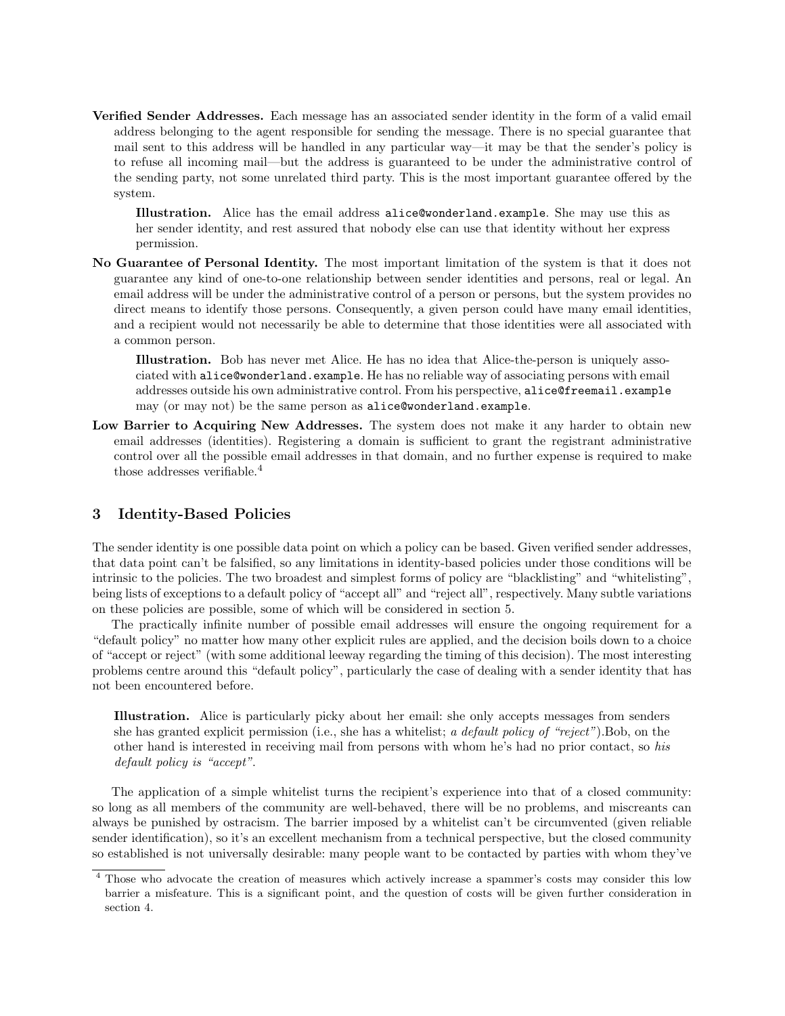Verified Sender Addresses. Each message has an associated sender identity in the form of a valid email address belonging to the agent responsible for sending the message. There is no special guarantee that mail sent to this address will be handled in any particular way—it may be that the sender's policy is to refuse all incoming mail—but the address is guaranteed to be under the administrative control of the sending party, not some unrelated third party. This is the most important guarantee offered by the system.

Illustration. Alice has the email address alice@wonderland.example. She may use this as her sender identity, and rest assured that nobody else can use that identity without her express permission.

No Guarantee of Personal Identity. The most important limitation of the system is that it does not guarantee any kind of one-to-one relationship between sender identities and persons, real or legal. An email address will be under the administrative control of a person or persons, but the system provides no direct means to identify those persons. Consequently, a given person could have many email identities, and a recipient would not necessarily be able to determine that those identities were all associated with a common person.

Illustration. Bob has never met Alice. He has no idea that Alice-the-person is uniquely associated with alice@wonderland.example. He has no reliable way of associating persons with email addresses outside his own administrative control. From his perspective, alice@freemail.example may (or may not) be the same person as alice@wonderland.example.

Low Barrier to Acquiring New Addresses. The system does not make it any harder to obtain new email addresses (identities). Registering a domain is sufficient to grant the registrant administrative control over all the possible email addresses in that domain, and no further expense is required to make those addresses verifiable.<sup>4</sup>

# 3 Identity-Based Policies

The sender identity is one possible data point on which a policy can be based. Given verified sender addresses, that data point can't be falsified, so any limitations in identity-based policies under those conditions will be intrinsic to the policies. The two broadest and simplest forms of policy are "blacklisting" and "whitelisting", being lists of exceptions to a default policy of "accept all" and "reject all", respectively. Many subtle variations on these policies are possible, some of which will be considered in section 5.

The practically infinite number of possible email addresses will ensure the ongoing requirement for a "default policy" no matter how many other explicit rules are applied, and the decision boils down to a choice of "accept or reject" (with some additional leeway regarding the timing of this decision). The most interesting problems centre around this "default policy", particularly the case of dealing with a sender identity that has not been encountered before.

Illustration. Alice is particularly picky about her email: she only accepts messages from senders she has granted explicit permission (i.e., she has a whitelist; a default policy of "reject"). Bob, on the other hand is interested in receiving mail from persons with whom he's had no prior contact, so his default policy is "accept".

The application of a simple whitelist turns the recipient's experience into that of a closed community: so long as all members of the community are well-behaved, there will be no problems, and miscreants can always be punished by ostracism. The barrier imposed by a whitelist can't be circumvented (given reliable sender identification), so it's an excellent mechanism from a technical perspective, but the closed community so established is not universally desirable: many people want to be contacted by parties with whom they've

<sup>4</sup> Those who advocate the creation of measures which actively increase a spammer's costs may consider this low barrier a misfeature. This is a significant point, and the question of costs will be given further consideration in section 4.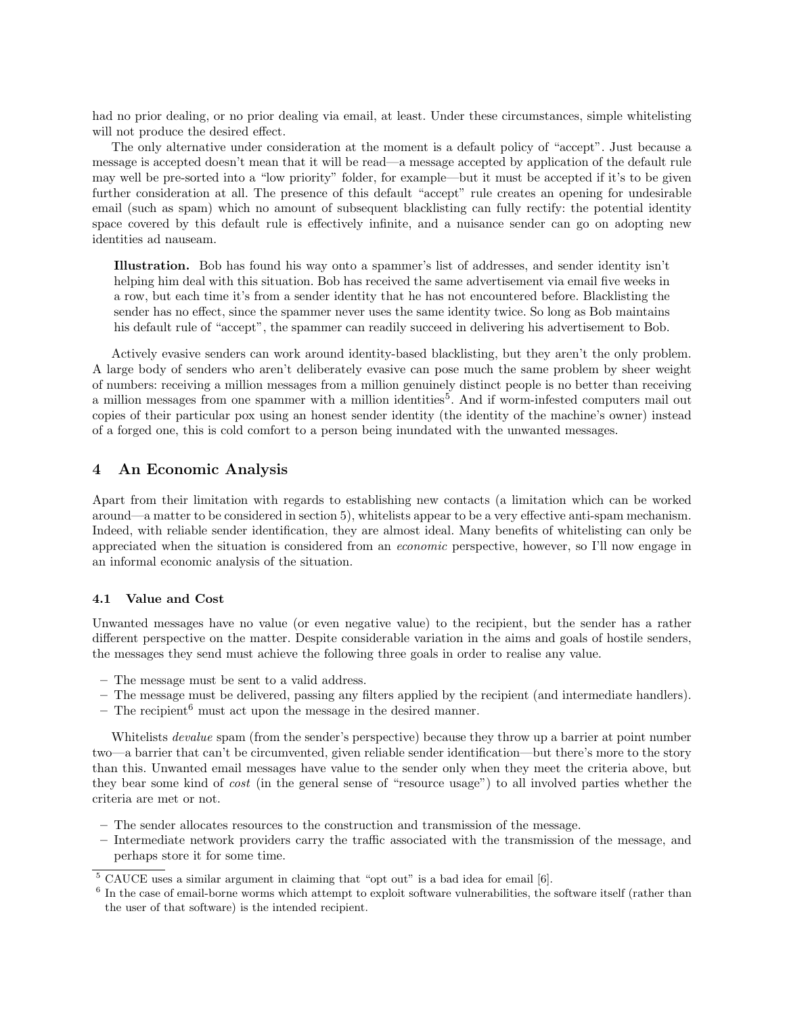had no prior dealing, or no prior dealing via email, at least. Under these circumstances, simple whitelisting will not produce the desired effect.

The only alternative under consideration at the moment is a default policy of "accept". Just because a message is accepted doesn't mean that it will be read—a message accepted by application of the default rule may well be pre-sorted into a "low priority" folder, for example—but it must be accepted if it's to be given further consideration at all. The presence of this default "accept" rule creates an opening for undesirable email (such as spam) which no amount of subsequent blacklisting can fully rectify: the potential identity space covered by this default rule is effectively infinite, and a nuisance sender can go on adopting new identities ad nauseam.

Illustration. Bob has found his way onto a spammer's list of addresses, and sender identity isn't helping him deal with this situation. Bob has received the same advertisement via email five weeks in a row, but each time it's from a sender identity that he has not encountered before. Blacklisting the sender has no effect, since the spammer never uses the same identity twice. So long as Bob maintains his default rule of "accept", the spammer can readily succeed in delivering his advertisement to Bob.

Actively evasive senders can work around identity-based blacklisting, but they aren't the only problem. A large body of senders who aren't deliberately evasive can pose much the same problem by sheer weight of numbers: receiving a million messages from a million genuinely distinct people is no better than receiving a million messages from one spammer with a million identities<sup>5</sup>. And if worm-infested computers mail out copies of their particular pox using an honest sender identity (the identity of the machine's owner) instead of a forged one, this is cold comfort to a person being inundated with the unwanted messages.

#### 4 An Economic Analysis

Apart from their limitation with regards to establishing new contacts (a limitation which can be worked around—a matter to be considered in section 5), whitelists appear to be a very effective anti-spam mechanism. Indeed, with reliable sender identification, they are almost ideal. Many benefits of whitelisting can only be appreciated when the situation is considered from an economic perspective, however, so I'll now engage in an informal economic analysis of the situation.

#### 4.1 Value and Cost

Unwanted messages have no value (or even negative value) to the recipient, but the sender has a rather different perspective on the matter. Despite considerable variation in the aims and goals of hostile senders, the messages they send must achieve the following three goals in order to realise any value.

- The message must be sent to a valid address.
- The message must be delivered, passing any filters applied by the recipient (and intermediate handlers).
- The recipient <sup>6</sup> must act upon the message in the desired manner.

Whitelists *devalue* spam (from the sender's perspective) because they throw up a barrier at point number two—a barrier that can't be circumvented, given reliable sender identification—but there's more to the story than this. Unwanted email messages have value to the sender only when they meet the criteria above, but they bear some kind of cost (in the general sense of "resource usage") to all involved parties whether the criteria are met or not.

- The sender allocates resources to the construction and transmission of the message.
- Intermediate network providers carry the traffic associated with the transmission of the message, and perhaps store it for some time.

<sup>5</sup> CAUCE uses a similar argument in claiming that "opt out" is a bad idea for email [6].

<sup>&</sup>lt;sup>6</sup> In the case of email-borne worms which attempt to exploit software vulnerabilities, the software itself (rather than the user of that software) is the intended recipient.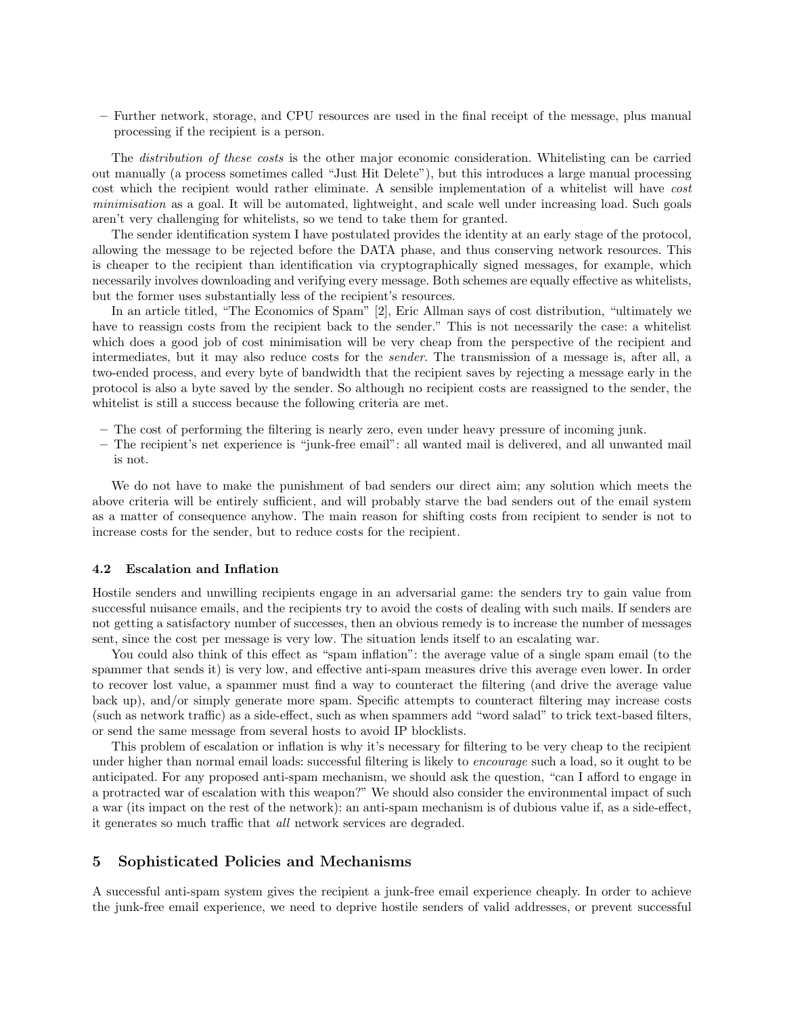– Further network, storage, and CPU resources are used in the final receipt of the message, plus manual processing if the recipient is a person.

The distribution of these costs is the other major economic consideration. Whitelisting can be carried out manually (a process sometimes called "Just Hit Delete"), but this introduces a large manual processing cost which the recipient would rather eliminate. A sensible implementation of a whitelist will have cost minimisation as a goal. It will be automated, lightweight, and scale well under increasing load. Such goals aren't very challenging for whitelists, so we tend to take them for granted.

The sender identification system I have postulated provides the identity at an early stage of the protocol, allowing the message to be rejected before the DATA phase, and thus conserving network resources. This is cheaper to the recipient than identification via cryptographically signed messages, for example, which necessarily involves downloading and verifying every message. Both schemes are equally effective as whitelists, but the former uses substantially less of the recipient's resources.

In an article titled, "The Economics of Spam" [2], Eric Allman says of cost distribution, "ultimately we have to reassign costs from the recipient back to the sender." This is not necessarily the case: a whitelist which does a good job of cost minimisation will be very cheap from the perspective of the recipient and intermediates, but it may also reduce costs for the sender. The transmission of a message is, after all, a two-ended process, and every byte of bandwidth that the recipient saves by rejecting a message early in the protocol is also a byte saved by the sender. So although no recipient costs are reassigned to the sender, the whitelist is still a success because the following criteria are met.

- The cost of performing the filtering is nearly zero, even under heavy pressure of incoming junk.
- The recipient's net experience is "junk-free email": all wanted mail is delivered, and all unwanted mail is not.

We do not have to make the punishment of bad senders our direct aim; any solution which meets the above criteria will be entirely sufficient, and will probably starve the bad senders out of the email system as a matter of consequence anyhow. The main reason for shifting costs from recipient to sender is not to increase costs for the sender, but to reduce costs for the recipient.

#### 4.2 Escalation and Inflation

Hostile senders and unwilling recipients engage in an adversarial game: the senders try to gain value from successful nuisance emails, and the recipients try to avoid the costs of dealing with such mails. If senders are not getting a satisfactory number of successes, then an obvious remedy is to increase the number of messages sent, since the cost per message is very low. The situation lends itself to an escalating war.

You could also think of this effect as "spam inflation": the average value of a single spam email (to the spammer that sends it) is very low, and effective anti-spam measures drive this average even lower. In order to recover lost value, a spammer must find a way to counteract the filtering (and drive the average value back up), and/or simply generate more spam. Specific attempts to counteract filtering may increase costs (such as network traffic) as a side-effect, such as when spammers add "word salad" to trick text-based filters, or send the same message from several hosts to avoid IP blocklists.

This problem of escalation or inflation is why it's necessary for filtering to be very cheap to the recipient under higher than normal email loads: successful filtering is likely to *encourage* such a load, so it ought to be anticipated. For any proposed anti-spam mechanism, we should ask the question, "can I afford to engage in a protracted war of escalation with this weapon?" We should also consider the environmental impact of such a war (its impact on the rest of the network): an anti-spam mechanism is of dubious value if, as a side-effect, it generates so much traffic that all network services are degraded.

## 5 Sophisticated Policies and Mechanisms

A successful anti-spam system gives the recipient a junk-free email experience cheaply. In order to achieve the junk-free email experience, we need to deprive hostile senders of valid addresses, or prevent successful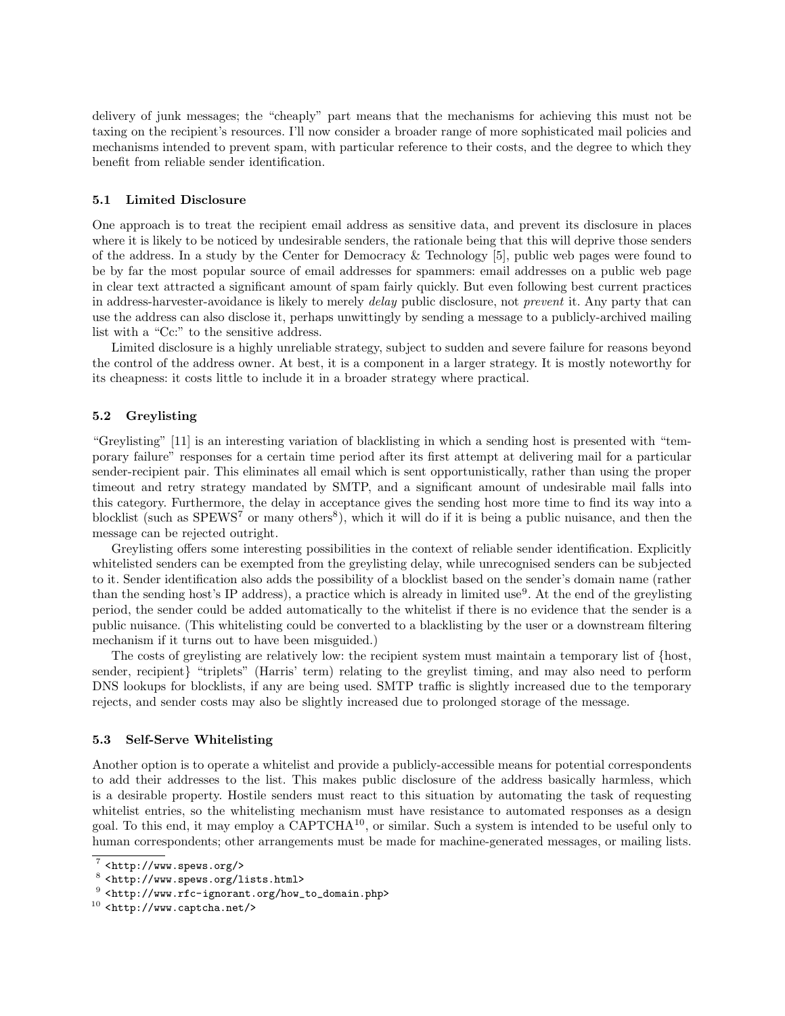delivery of junk messages; the "cheaply" part means that the mechanisms for achieving this must not be taxing on the recipient's resources. I'll now consider a broader range of more sophisticated mail policies and mechanisms intended to prevent spam, with particular reference to their costs, and the degree to which they benefit from reliable sender identification.

#### 5.1 Limited Disclosure

One approach is to treat the recipient email address as sensitive data, and prevent its disclosure in places where it is likely to be noticed by undesirable senders, the rationale being that this will deprive those senders of the address. In a study by the Center for Democracy & Technology [5], public web pages were found to be by far the most popular source of email addresses for spammers: email addresses on a public web page in clear text attracted a significant amount of spam fairly quickly. But even following best current practices in address-harvester-avoidance is likely to merely delay public disclosure, not prevent it. Any party that can use the address can also disclose it, perhaps unwittingly by sending a message to a publicly-archived mailing list with a "Cc:" to the sensitive address.

Limited disclosure is a highly unreliable strategy, subject to sudden and severe failure for reasons beyond the control of the address owner. At best, it is a component in a larger strategy. It is mostly noteworthy for its cheapness: it costs little to include it in a broader strategy where practical.

#### 5.2 Greylisting

"Greylisting" [11] is an interesting variation of blacklisting in which a sending host is presented with "temporary failure" responses for a certain time period after its first attempt at delivering mail for a particular sender-recipient pair. This eliminates all email which is sent opportunistically, rather than using the proper timeout and retry strategy mandated by SMTP, and a significant amount of undesirable mail falls into this category. Furthermore, the delay in acceptance gives the sending host more time to find its way into a blocklist (such as SPEWS<sup>7</sup> or many others<sup>8</sup>), which it will do if it is being a public nuisance, and then the message can be rejected outright.

Greylisting offers some interesting possibilities in the context of reliable sender identification. Explicitly whitelisted senders can be exempted from the greylisting delay, while unrecognised senders can be subjected to it. Sender identification also adds the possibility of a blocklist based on the sender's domain name (rather than the sending host's IP address), a practice which is already in limited use<sup>9</sup>. At the end of the greylisting period, the sender could be added automatically to the whitelist if there is no evidence that the sender is a public nuisance. (This whitelisting could be converted to a blacklisting by the user or a downstream filtering mechanism if it turns out to have been misguided.)

The costs of greylisting are relatively low: the recipient system must maintain a temporary list of {host, sender, recipient} "triplets" (Harris' term) relating to the greylist timing, and may also need to perform DNS lookups for blocklists, if any are being used. SMTP traffic is slightly increased due to the temporary rejects, and sender costs may also be slightly increased due to prolonged storage of the message.

#### 5.3 Self-Serve Whitelisting

Another option is to operate a whitelist and provide a publicly-accessible means for potential correspondents to add their addresses to the list. This makes public disclosure of the address basically harmless, which is a desirable property. Hostile senders must react to this situation by automating the task of requesting whitelist entries, so the whitelisting mechanism must have resistance to automated responses as a design goal. To this end, it may employ a CAPTCHA<sup>10</sup>, or similar. Such a system is intended to be useful only to human correspondents; other arrangements must be made for machine-generated messages, or mailing lists.

 $7$  <http://www.spews.org/>

<sup>8</sup> <http://www.spews.org/lists.html>

<sup>9</sup> <http://www.rfc-ignorant.org/how\_to\_domain.php>

 $10$  <http://www.captcha.net/>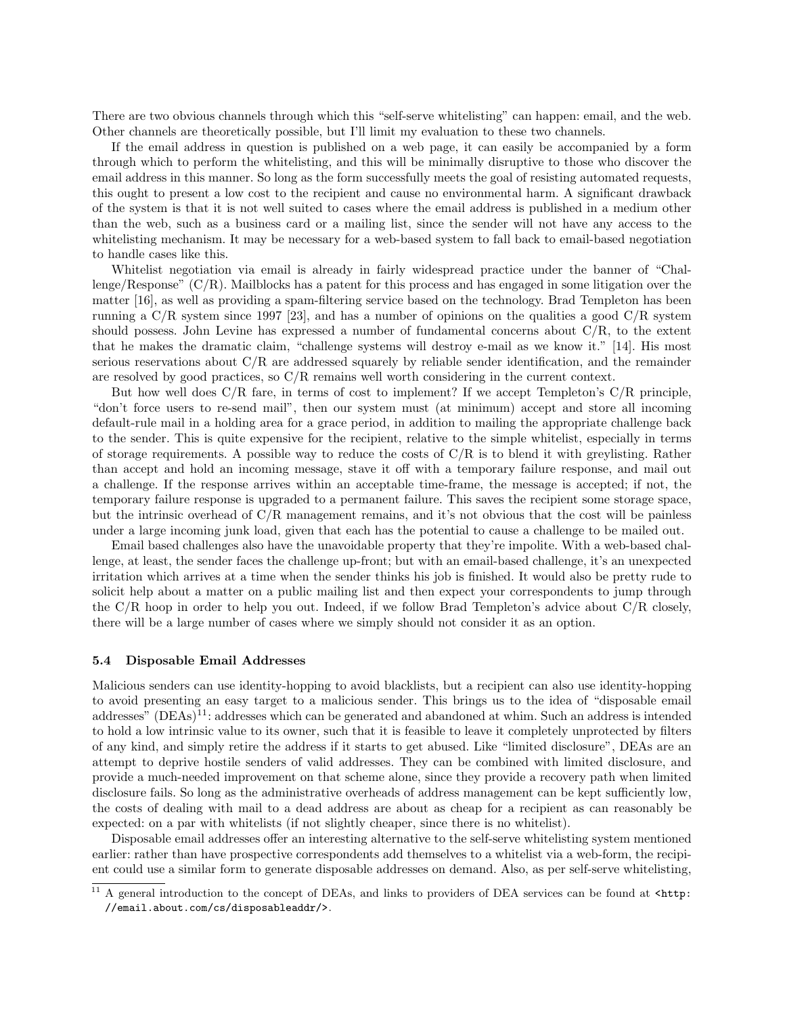There are two obvious channels through which this "self-serve whitelisting" can happen: email, and the web. Other channels are theoretically possible, but I'll limit my evaluation to these two channels.

If the email address in question is published on a web page, it can easily be accompanied by a form through which to perform the whitelisting, and this will be minimally disruptive to those who discover the email address in this manner. So long as the form successfully meets the goal of resisting automated requests, this ought to present a low cost to the recipient and cause no environmental harm. A significant drawback of the system is that it is not well suited to cases where the email address is published in a medium other than the web, such as a business card or a mailing list, since the sender will not have any access to the whitelisting mechanism. It may be necessary for a web-based system to fall back to email-based negotiation to handle cases like this.

Whitelist negotiation via email is already in fairly widespread practice under the banner of "Challenge/Response"  $(C/R)$ . Mailblocks has a patent for this process and has engaged in some litigation over the matter [16], as well as providing a spam-filtering service based on the technology. Brad Templeton has been running a  $C/R$  system since 1997 [23], and has a number of opinions on the qualities a good  $C/R$  system should possess. John Levine has expressed a number of fundamental concerns about C/R, to the extent that he makes the dramatic claim, "challenge systems will destroy e-mail as we know it." [14]. His most serious reservations about C/R are addressed squarely by reliable sender identification, and the remainder are resolved by good practices, so  $C/R$  remains well worth considering in the current context.

But how well does  $C/R$  fare, in terms of cost to implement? If we accept Templeton's  $C/R$  principle. "don't force users to re-send mail", then our system must (at minimum) accept and store all incoming default-rule mail in a holding area for a grace period, in addition to mailing the appropriate challenge back to the sender. This is quite expensive for the recipient, relative to the simple whitelist, especially in terms of storage requirements. A possible way to reduce the costs of C/R is to blend it with greylisting. Rather than accept and hold an incoming message, stave it off with a temporary failure response, and mail out a challenge. If the response arrives within an acceptable time-frame, the message is accepted; if not, the temporary failure response is upgraded to a permanent failure. This saves the recipient some storage space, but the intrinsic overhead of C/R management remains, and it's not obvious that the cost will be painless under a large incoming junk load, given that each has the potential to cause a challenge to be mailed out.

Email based challenges also have the unavoidable property that they're impolite. With a web-based challenge, at least, the sender faces the challenge up-front; but with an email-based challenge, it's an unexpected irritation which arrives at a time when the sender thinks his job is finished. It would also be pretty rude to solicit help about a matter on a public mailing list and then expect your correspondents to jump through the C/R hoop in order to help you out. Indeed, if we follow Brad Templeton's advice about C/R closely, there will be a large number of cases where we simply should not consider it as an option.

#### 5.4 Disposable Email Addresses

Malicious senders can use identity-hopping to avoid blacklists, but a recipient can also use identity-hopping to avoid presenting an easy target to a malicious sender. This brings us to the idea of "disposable email addresses" (DEAs)<sup>11</sup>: addresses which can be generated and abandoned at whim. Such an address is intended to hold a low intrinsic value to its owner, such that it is feasible to leave it completely unprotected by filters of any kind, and simply retire the address if it starts to get abused. Like "limited disclosure", DEAs are an attempt to deprive hostile senders of valid addresses. They can be combined with limited disclosure, and provide a much-needed improvement on that scheme alone, since they provide a recovery path when limited disclosure fails. So long as the administrative overheads of address management can be kept sufficiently low, the costs of dealing with mail to a dead address are about as cheap for a recipient as can reasonably be expected: on a par with whitelists (if not slightly cheaper, since there is no whitelist).

Disposable email addresses offer an interesting alternative to the self-serve whitelisting system mentioned earlier: rather than have prospective correspondents add themselves to a whitelist via a web-form, the recipient could use a similar form to generate disposable addresses on demand. Also, as per self-serve whitelisting,

<sup>&</sup>lt;sup>11</sup> A general introduction to the concept of DEAs, and links to providers of DEA services can be found at  $<$ http: //email.about.com/cs/disposableaddr/>.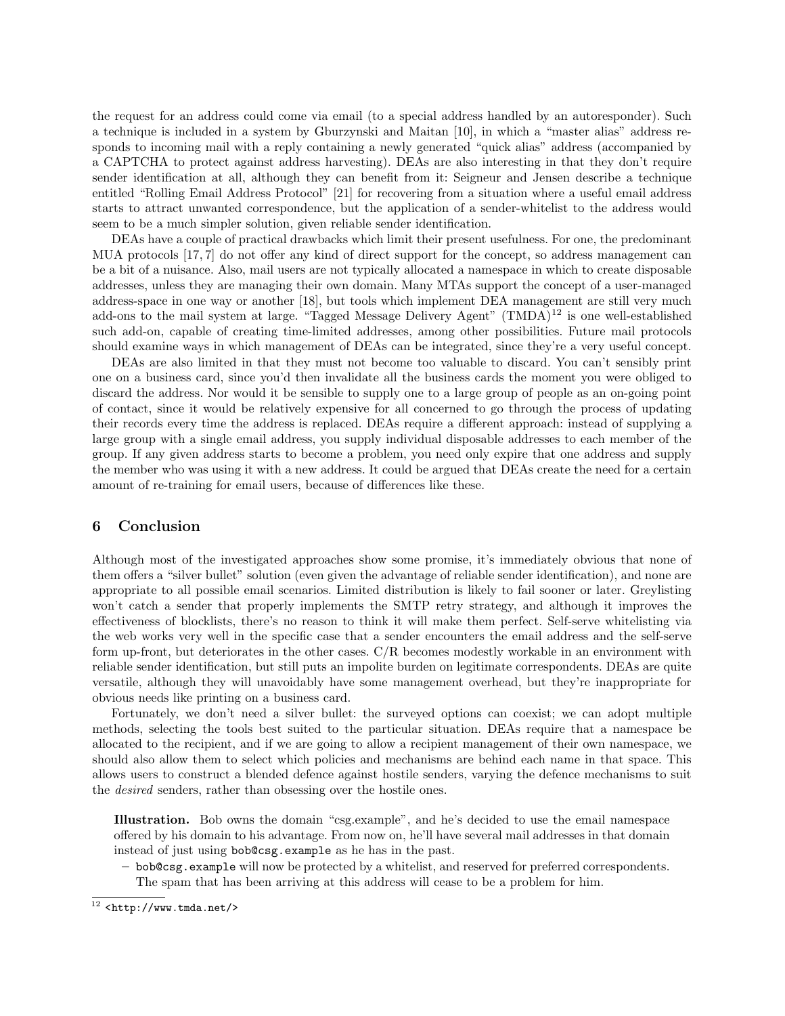the request for an address could come via email (to a special address handled by an autoresponder). Such a technique is included in a system by Gburzynski and Maitan [10], in which a "master alias" address responds to incoming mail with a reply containing a newly generated "quick alias" address (accompanied by a CAPTCHA to protect against address harvesting). DEAs are also interesting in that they don't require sender identification at all, although they can benefit from it: Seigneur and Jensen describe a technique entitled "Rolling Email Address Protocol" [21] for recovering from a situation where a useful email address starts to attract unwanted correspondence, but the application of a sender-whitelist to the address would seem to be a much simpler solution, given reliable sender identification.

DEAs have a couple of practical drawbacks which limit their present usefulness. For one, the predominant MUA protocols [17, 7] do not offer any kind of direct support for the concept, so address management can be a bit of a nuisance. Also, mail users are not typically allocated a namespace in which to create disposable addresses, unless they are managing their own domain. Many MTAs support the concept of a user-managed address-space in one way or another [18], but tools which implement DEA management are still very much add-ons to the mail system at large. "Tagged Message Delivery Agent" (TMDA)<sup>12</sup> is one well-established such add-on, capable of creating time-limited addresses, among other possibilities. Future mail protocols should examine ways in which management of DEAs can be integrated, since they're a very useful concept.

DEAs are also limited in that they must not become too valuable to discard. You can't sensibly print one on a business card, since you'd then invalidate all the business cards the moment you were obliged to discard the address. Nor would it be sensible to supply one to a large group of people as an on-going point of contact, since it would be relatively expensive for all concerned to go through the process of updating their records every time the address is replaced. DEAs require a different approach: instead of supplying a large group with a single email address, you supply individual disposable addresses to each member of the group. If any given address starts to become a problem, you need only expire that one address and supply the member who was using it with a new address. It could be argued that DEAs create the need for a certain amount of re-training for email users, because of differences like these.

## 6 Conclusion

Although most of the investigated approaches show some promise, it's immediately obvious that none of them offers a "silver bullet" solution (even given the advantage of reliable sender identification), and none are appropriate to all possible email scenarios. Limited distribution is likely to fail sooner or later. Greylisting won't catch a sender that properly implements the SMTP retry strategy, and although it improves the effectiveness of blocklists, there's no reason to think it will make them perfect. Self-serve whitelisting via the web works very well in the specific case that a sender encounters the email address and the self-serve form up-front, but deteriorates in the other cases. C/R becomes modestly workable in an environment with reliable sender identification, but still puts an impolite burden on legitimate correspondents. DEAs are quite versatile, although they will unavoidably have some management overhead, but they're inappropriate for obvious needs like printing on a business card.

Fortunately, we don't need a silver bullet: the surveyed options can coexist; we can adopt multiple methods, selecting the tools best suited to the particular situation. DEAs require that a namespace be allocated to the recipient, and if we are going to allow a recipient management of their own namespace, we should also allow them to select which policies and mechanisms are behind each name in that space. This allows users to construct a blended defence against hostile senders, varying the defence mechanisms to suit the desired senders, rather than obsessing over the hostile ones.

Illustration. Bob owns the domain "csg.example", and he's decided to use the email namespace offered by his domain to his advantage. From now on, he'll have several mail addresses in that domain instead of just using bob@csg.example as he has in the past.

– bob@csg.example will now be protected by a whitelist, and reserved for preferred correspondents. The spam that has been arriving at this address will cease to be a problem for him.

 $\frac{12}{12}$  <http://www.tmda.net/>